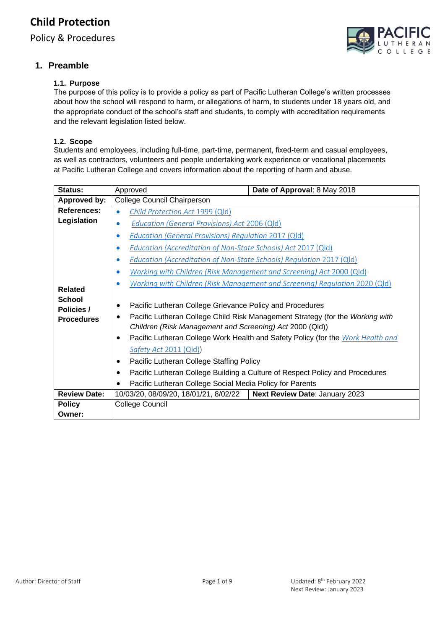Policy & Procedures

## **1. Preamble**

### **1.1. Purpose**

The purpose of this policy is to provide a policy as part of Pacific Lutheran College's written processes about how the school will respond to harm, or allegations of harm, to students under 18 years old, and the appropriate conduct of the school's staff and students, to comply with accreditation requirements and the relevant legislation listed below.

#### **1.2. Scope**

Students and employees, including full-time, part-time, permanent, fixed-term and casual employees, as well as contractors, volunteers and people undertaking work experience or vocational placements at Pacific Lutheran College and covers information about the reporting of harm and abuse.

| Status:                                          | Approved                                                                                                                                                                                                                                                                                                                                                                                                                                                                                                        | Date of Approval: 8 May 2018 |  |
|--------------------------------------------------|-----------------------------------------------------------------------------------------------------------------------------------------------------------------------------------------------------------------------------------------------------------------------------------------------------------------------------------------------------------------------------------------------------------------------------------------------------------------------------------------------------------------|------------------------------|--|
| <b>Approved by:</b>                              | College Council Chairperson                                                                                                                                                                                                                                                                                                                                                                                                                                                                                     |                              |  |
| References:                                      | Child Protection Act 1999 (Qld)<br>$\bullet$                                                                                                                                                                                                                                                                                                                                                                                                                                                                    |                              |  |
| Legislation                                      | <b>Education (General Provisions) Act 2006 (Qld)</b><br>$\bullet$                                                                                                                                                                                                                                                                                                                                                                                                                                               |                              |  |
|                                                  | <b>Education (General Provisions) Regulation 2017 (Qld)</b><br>۰                                                                                                                                                                                                                                                                                                                                                                                                                                                |                              |  |
|                                                  | Education (Accreditation of Non-State Schools) Act 2017 (Qld)<br>$\bullet$                                                                                                                                                                                                                                                                                                                                                                                                                                      |                              |  |
|                                                  | Education (Accreditation of Non-State Schools) Regulation 2017 (Qld)<br>$\bullet$                                                                                                                                                                                                                                                                                                                                                                                                                               |                              |  |
|                                                  | Working with Children (Risk Management and Screening) Act 2000 (Qld)                                                                                                                                                                                                                                                                                                                                                                                                                                            |                              |  |
| <b>Related</b>                                   | Working with Children (Risk Management and Screening) Regulation 2020 (Qld)                                                                                                                                                                                                                                                                                                                                                                                                                                     |                              |  |
| <b>School</b><br>Policies /<br><b>Procedures</b> | Pacific Lutheran College Grievance Policy and Procedures<br>Pacific Lutheran College Child Risk Management Strategy (for the Working with<br>Children (Risk Management and Screening) Act 2000 (Qld))<br>Pacific Lutheran College Work Health and Safety Policy (for the Work Health and<br>Safety Act 2011 (Qld))<br>Pacific Lutheran College Staffing Policy<br>٠<br>Pacific Lutheran College Building a Culture of Respect Policy and Procedures<br>Pacific Lutheran College Social Media Policy for Parents |                              |  |
| <b>Review Date:</b>                              | Next Review Date: January 2023<br>10/03/20, 08/09/20, 18/01/21, 8/02/22                                                                                                                                                                                                                                                                                                                                                                                                                                         |                              |  |
| <b>Policy</b>                                    | College Council                                                                                                                                                                                                                                                                                                                                                                                                                                                                                                 |                              |  |
| Owner:                                           |                                                                                                                                                                                                                                                                                                                                                                                                                                                                                                                 |                              |  |

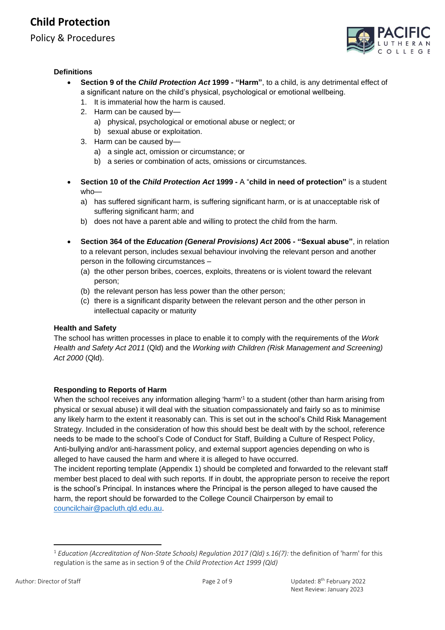# **Child Protection**

Policy & Procedures



#### **Definitions**

- **Section 9 of the** *Child Protection Act* **1999 - "Harm"**, to a child, is any detrimental effect of a significant nature on the child's physical, psychological or emotional wellbeing.
	- 1. It is immaterial how the harm is caused.
	- 2. Harm can be caused by
		- a) physical, psychological or emotional abuse or neglect; or
		- b) sexual abuse or exploitation.
	- 3. Harm can be caused by
		- a) a single act, omission or circumstance; or
		- b) a series or combination of acts, omissions or circumstances.
- **Section 10 of the** *Child Protection Act* **1999 -** A "**child in need of protection"** is a student who
	- a) has suffered significant harm, is suffering significant harm, or is at unacceptable risk of suffering significant harm; and
	- b) does not have a parent able and willing to protect the child from the harm.
- **Section 364 of the** *Education (General Provisions) Act* **2006 - "Sexual abuse"**, in relation to a relevant person, includes sexual behaviour involving the relevant person and another person in the following circumstances –
	- (a) the other person bribes, coerces, exploits, threatens or is violent toward the relevant person;
	- (b) the relevant person has less power than the other person;
	- (c) there is a significant disparity between the relevant person and the other person in intellectual capacity or maturity

#### **Health and Safety**

The school has written processes in place to enable it to comply with the requirements of the *Work Health and Safety Act 2011* (Qld) and the *Working with Children (Risk Management and Screening) Act 2000* (Qld).

### **Responding to Reports of Harm**

When the school receives any information alleging 'harm'<sup>1</sup> to a student (other than harm arising from physical or sexual abuse) it will deal with the situation compassionately and fairly so as to minimise any likely harm to the extent it reasonably can. This is set out in the school's Child Risk Management Strategy. Included in the consideration of how this should best be dealt with by the school, reference needs to be made to the school's Code of Conduct for Staff, Building a Culture of Respect Policy, Anti-bullying and/or anti-harassment policy, and external support agencies depending on who is alleged to have caused the harm and where it is alleged to have occurred.

The incident reporting template (Appendix 1) should be completed and forwarded to the relevant staff member best placed to deal with such reports. If in doubt, the appropriate person to receive the report is the school's Principal. In instances where the Principal is the person alleged to have caused the harm, the report should be forwarded to the College Council Chairperson by email to [councilchair@pacluth.qld.edu.au.](mailto:councilchair@pacluth.qld.edu.au)

<sup>1</sup> *Education (Accreditation of Non-State Schools) Regulation 2017 (Qld) s.16(7):* the definition of 'harm' for this regulation is the same as in section 9 of the *Child Protection Act 1999 (Qld)*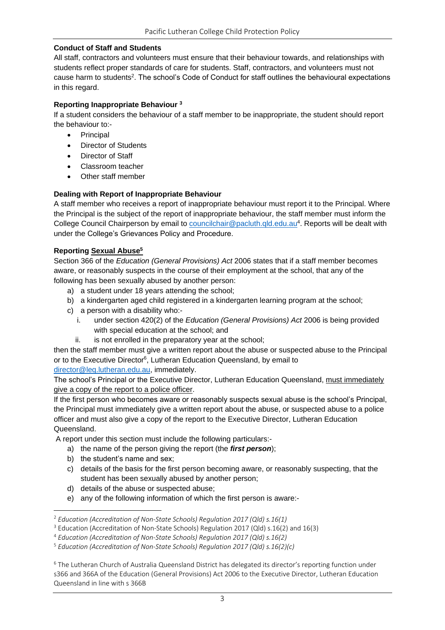## **Conduct of Staff and Students**

All staff, contractors and volunteers must ensure that their behaviour towards, and relationships with students reflect proper standards of care for students. Staff, contractors, and volunteers must not cause harm to students<sup>2</sup>. The school's Code of Conduct for staff outlines the behavioural expectations in this regard.

### **Reporting Inappropriate Behaviour <sup>3</sup>**

If a student considers the behaviour of a staff member to be inappropriate, the student should report the behaviour to:-

- Principal
- Director of Students
- Director of Staff
- Classroom teacher
- Other staff member

## **Dealing with Report of Inappropriate Behaviour**

A staff member who receives a report of inappropriate behaviour must report it to the Principal. Where the Principal is the subject of the report of inappropriate behaviour, the staff member must inform the College Council Chairperson by email to [councilchair@pacluth.qld.edu.au](mailto:councilchair@pacluth.qld.edu.au)<sup>4</sup>. Reports will be dealt with under the College's Grievances Policy and Procedure.

## **Reporting Sexual Abuse<sup>5</sup>**

Section 366 of the *Education (General Provisions) Act* 2006 states that if a staff member becomes aware, or reasonably suspects in the course of their employment at the school, that any of the following has been sexually abused by another person:

- a) a student under 18 years attending the school;
- b) a kindergarten aged child registered in a kindergarten learning program at the school;
- c) a person with a disability who:
	- i. under section 420(2) of the *Education (General Provisions) Act* 2006 is being provided with special education at the school; and
	- ii. is not enrolled in the preparatory year at the school;

then the staff member must give a written report about the abuse or suspected abuse to the Principal or to the Executive Director<sup>6</sup>, Lutheran Education Queensland, by email to

## [director@leq.lutheran.edu.au,](mailto:director@leq.lutheran.edu.au) immediately.

The school's Principal or the Executive Director, Lutheran Education Queensland, must immediately give a copy of the report to a police officer.

If the first person who becomes aware or reasonably suspects sexual abuse is the school's Principal, the Principal must immediately give a written report about the abuse, or suspected abuse to a police officer and must also give a copy of the report to the Executive Director, Lutheran Education Queensland.

A report under this section must include the following particulars:-

- a) the name of the person giving the report (the *first person*);
- b) the student's name and sex;
- c) details of the basis for the first person becoming aware, or reasonably suspecting, that the student has been sexually abused by another person;
- d) details of the abuse or suspected abuse;
- e) any of the following information of which the first person is aware:-

<sup>2</sup> *Education (Accreditation of Non-State Schools) Regulation 2017 (Qld) s.16(1)*

<sup>3</sup> Education (Accreditation of Non-State Schools) Regulation 2017 (Qld) s.16(2) and 16(3)

<sup>4</sup> *Education (Accreditation of Non-State Schools) Regulation 2017 (Qld) s.16(2)*

<sup>5</sup> *Education (Accreditation of Non-State Schools) Regulation 2017 (Qld) s.16(2)(c)*

<sup>6</sup> The Lutheran Church of Australia Queensland District has delegated its director's reporting function under s366 and 366A of the Education (General Provisions) Act 2006 to the Executive Director, Lutheran Education Queensland in line with s 366B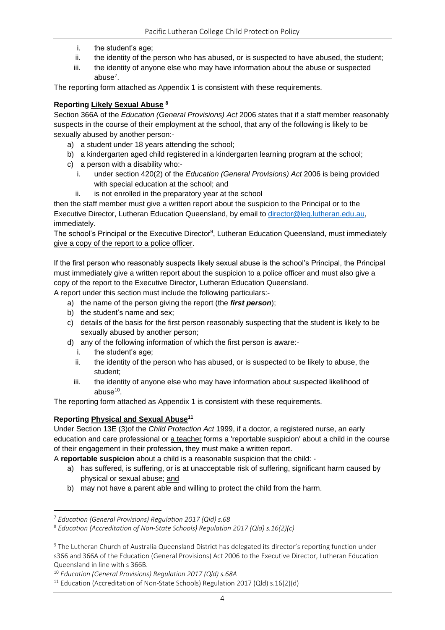- i. the student's age;
- ii. the identity of the person who has abused, or is suspected to have abused, the student;
- iii. the identity of anyone else who may have information about the abuse or suspected abuse<sup>7</sup>.

The reporting form attached as Appendix 1 is consistent with these requirements.

#### **Reporting Likely Sexual Abuse <sup>8</sup>**

Section 366A of the *Education (General Provisions) Act* 2006 states that if a staff member reasonably suspects in the course of their employment at the school, that any of the following is likely to be sexually abused by another person:-

- a) a student under 18 years attending the school;
- b) a kindergarten aged child registered in a kindergarten learning program at the school;
- c) a person with a disability who:
	- i. under section 420(2) of the *Education (General Provisions) Act* 2006 is being provided with special education at the school; and
	- ii. is not enrolled in the preparatory year at the school

then the staff member must give a written report about the suspicion to the Principal or to the Executive Director, Lutheran Education Queensland, by email to [director@leq.lutheran.edu.au,](mailto:director@leq.lutheran.edu.au) immediately.

The school's Principal or the Executive Director<sup>9</sup>, Lutheran Education Queensland, must immediately give a copy of the report to a police officer.

If the first person who reasonably suspects likely sexual abuse is the school's Principal, the Principal must immediately give a written report about the suspicion to a police officer and must also give a copy of the report to the Executive Director, Lutheran Education Queensland.

A report under this section must include the following particulars:-

- a) the name of the person giving the report (the *first person*);
- b) the student's name and sex;
- c) details of the basis for the first person reasonably suspecting that the student is likely to be sexually abused by another person;
- d) any of the following information of which the first person is aware:
	- i. the student's age;
	- ii. the identity of the person who has abused, or is suspected to be likely to abuse, the student;
	- iii. the identity of anyone else who may have information about suspected likelihood of abuse<sup>10</sup>.

The reporting form attached as Appendix 1 is consistent with these requirements.

### **Reporting Physical and Sexual Abuse<sup>11</sup>**

Under Section 13E (3)of the *Child Protection Act* 1999, if a doctor, a registered nurse, an early education and care professional or a teacher forms a 'reportable suspicion' about a child in the course of their engagement in their profession, they must make a written report.

A **reportable suspicion** about a child is a reasonable suspicion that the child: -

- a) has suffered, is suffering, or is at unacceptable risk of suffering, significant harm caused by physical or sexual abuse; and
- b) may not have a parent able and willing to protect the child from the harm.

<sup>7</sup> *Education (General Provisions) Regulation 2017 (Qld) s.68*

<sup>8</sup> *Education (Accreditation of Non-State Schools) Regulation 2017 (Qld) s.16(2)(c)*

<sup>9</sup> The Lutheran Church of Australia Queensland District has delegated its director's reporting function under s366 and 366A of the Education (General Provisions) Act 2006 to the Executive Director, Lutheran Education Queensland in line with s 366B.

<sup>10</sup> *Education (General Provisions) Regulation 2017 (Qld) s.68A*

<sup>&</sup>lt;sup>11</sup> Education (Accreditation of Non-State Schools) Regulation 2017 (Qld) s.16(2)(d)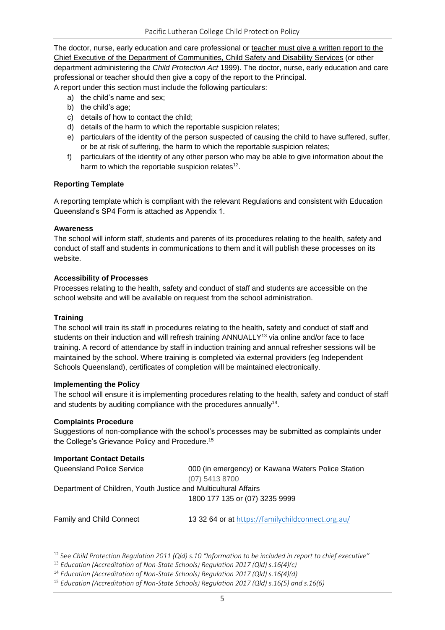The doctor, nurse, early education and care professional or teacher must give a written report to the Chief Executive of the Department of Communities, Child Safety and Disability Services (or other department administering the *Child Protection Act* 1999). The doctor, nurse, early education and care professional or teacher should then give a copy of the report to the Principal. A report under this section must include the following particulars:

- a) the child's name and sex;
- b) the child's age;
- c) details of how to contact the child;
- d) details of the harm to which the reportable suspicion relates;
- e) particulars of the identity of the person suspected of causing the child to have suffered, suffer, or be at risk of suffering, the harm to which the reportable suspicion relates;
- f) particulars of the identity of any other person who may be able to give information about the harm to which the reportable suspicion relates $12$ .

### **Reporting Template**

A reporting template which is compliant with the relevant Regulations and consistent with Education Queensland's SP4 Form is attached as Appendix 1.

#### **Awareness**

The school will inform staff, students and parents of its procedures relating to the health, safety and conduct of staff and students in communications to them and it will publish these processes on its website.

#### **Accessibility of Processes**

Processes relating to the health, safety and conduct of staff and students are accessible on the school website and will be available on request from the school administration.

#### **Training**

The school will train its staff in procedures relating to the health, safety and conduct of staff and students on their induction and will refresh training ANNUALLY $^{13}$  via online and/or face to face training. A record of attendance by staff in induction training and annual refresher sessions will be maintained by the school. Where training is completed via external providers (eg Independent Schools Queensland), certificates of completion will be maintained electronically.

#### **Implementing the Policy**

The school will ensure it is implementing procedures relating to the health, safety and conduct of staff and students by auditing compliance with the procedures annually $14$ .

#### **Complaints Procedure**

Suggestions of non-compliance with the school's processes may be submitted as complaints under the College's Grievance Policy and Procedure. 15

### **Important Contact Details**

Queensland Police Service 000 (in emergency) or Kawana Waters Police Station (07) 5413 8700

Department of Children, Youth Justice and Multicultural Affairs

1800 177 135 or (07) 3235 9999

Family and Child Connect 13 32 64 or at <https://familychildconnect.org.au/>

<sup>12</sup> See *Child Protection Regulation 2011 (Qld) s.10 "Information to be included in report to chief executive"* 

<sup>13</sup> *Education (Accreditation of Non-State Schools) Regulation 2017 (Qld) s.16(4)(c)*

<sup>14</sup> *Education (Accreditation of Non-State Schools) Regulation 2017 (Qld) s.16(4)(d)*

<sup>15</sup> *Education (Accreditation of Non-State Schools) Regulation 2017 (Qld) s.16(5) and s.16(6)*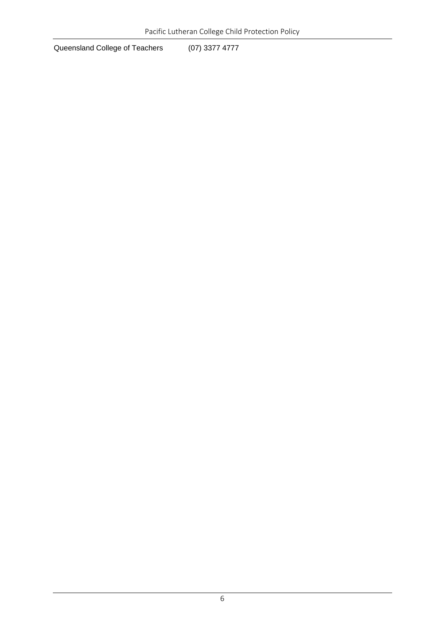Queensland College of Teachers (07) 3377 4777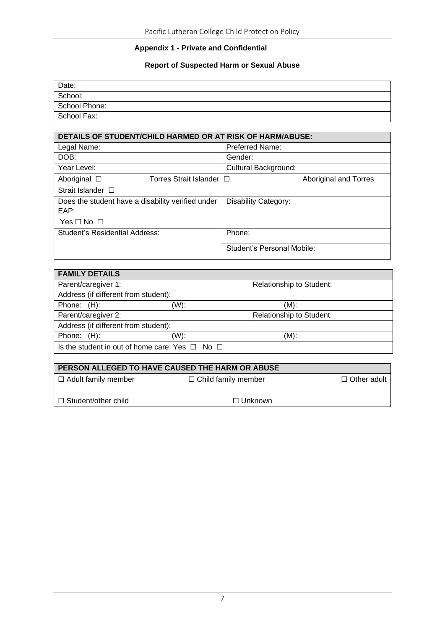## **Appendix 1 - Private and Confidential**

## **Report of Suspected Harm or Sexual Abuse**

| Date:         |  |
|---------------|--|
| School:       |  |
| School Phone: |  |
| School Fax:   |  |

| <b>DETAILS OF STUDENT/CHILD HARMED OR AT RISK OF HARM/ABUSE:</b> |                             |
|------------------------------------------------------------------|-----------------------------|
| Legal Name:                                                      | <b>Preferred Name:</b>      |
| DOB:                                                             | Gender:                     |
| Year Level:                                                      | Cultural Background:        |
| Aboriginal $\Box$<br>Torres Strait Islander $\Box$               | Aboriginal and Torres       |
| Strait Islander $\Box$                                           |                             |
| Does the student have a disability verified under<br>EAP:        | <b>Disability Category:</b> |
| $Yes \Box No \Box$                                               |                             |
| Student's Residential Address:                                   | Phone:                      |
|                                                                  | Student's Personal Mobile:  |

| <b>FAMILY DETAILS</b>                                    |      |                          |
|----------------------------------------------------------|------|--------------------------|
| Parent/caregiver 1:                                      |      | Relationship to Student: |
| Address (if different from student):                     |      |                          |
| Phone: $(H)$ :                                           | (W): | $(M)$ :                  |
| Parent/caregiver 2:                                      |      | Relationship to Student: |
| Address (if different from student):                     |      |                          |
| Phone: $(H)$ :                                           | (W): | $(M)$ :                  |
| Is the student in out of home care: Yes $\Box$ No $\Box$ |      |                          |

| <b>PERSON ALLEGED TO HAVE CAUSED THE HARM OR ABUSE</b> |                            |                    |  |
|--------------------------------------------------------|----------------------------|--------------------|--|
| $\Box$ Adult family member                             | $\Box$ Child family member | $\Box$ Other adult |  |
|                                                        |                            |                    |  |
| $\Box$ Student/other child                             | $\Box$ Unknown             |                    |  |
|                                                        |                            |                    |  |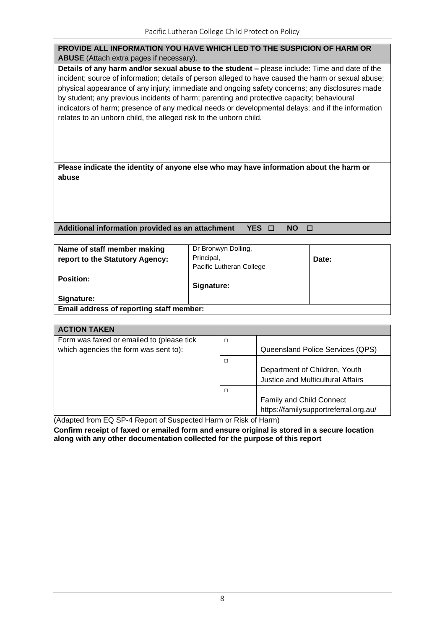| PROVIDE ALL INFORMATION YOU HAVE WHICH LED TO THE SUSPICION OF HARM OR                                                                                                                                                                                                                                                                                                                                                                                                                                                                                                         |
|--------------------------------------------------------------------------------------------------------------------------------------------------------------------------------------------------------------------------------------------------------------------------------------------------------------------------------------------------------------------------------------------------------------------------------------------------------------------------------------------------------------------------------------------------------------------------------|
| <b>ABUSE</b> (Attach extra pages if necessary).                                                                                                                                                                                                                                                                                                                                                                                                                                                                                                                                |
| Details of any harm and/or sexual abuse to the student – please include: Time and date of the<br>incident; source of information; details of person alleged to have caused the harm or sexual abuse;<br>physical appearance of any injury; immediate and ongoing safety concerns; any disclosures made<br>by student; any previous incidents of harm; parenting and protective capacity; behavioural<br>indicators of harm; presence of any medical needs or developmental delays; and if the information<br>relates to an unborn child, the alleged risk to the unborn child. |
| Please indicate the identity of anyone else who may have information about the harm or                                                                                                                                                                                                                                                                                                                                                                                                                                                                                         |
| abuse                                                                                                                                                                                                                                                                                                                                                                                                                                                                                                                                                                          |
|                                                                                                                                                                                                                                                                                                                                                                                                                                                                                                                                                                                |
| Additional information provided as an attachment<br><b>YES</b><br><b>NO</b>                                                                                                                                                                                                                                                                                                                                                                                                                                                                                                    |

| Principal,<br>Date:<br>Pacific Lutheran College        |  |  |
|--------------------------------------------------------|--|--|
| <b>Signature:</b>                                      |  |  |
| Signature:<br>Email address of reporting staff member: |  |  |
|                                                        |  |  |

| <b>ACTION TAKEN</b>                                                     |        |                                          |
|-------------------------------------------------------------------------|--------|------------------------------------------|
| Form was faxed or emailed to (please tick                               | □      |                                          |
| which agencies the form was sent to):                                   |        | Queensland Police Services (QPS)         |
|                                                                         | $\Box$ |                                          |
|                                                                         |        | Department of Children, Youth            |
|                                                                         |        | <b>Justice and Multicultural Affairs</b> |
|                                                                         | $\Box$ |                                          |
|                                                                         |        | <b>Family and Child Connect</b>          |
|                                                                         |        | https://familysupportreferral.org.au/    |
| (Adopted from $\Box$ CD, A Depart of Cuspected House or Diale of House) |        |                                          |

(Adapted from EQ SP-4 Report of Suspected Harm or Risk of Harm)

**Confirm receipt of faxed or emailed form and ensure original is stored in a secure location along with any other documentation collected for the purpose of this report**